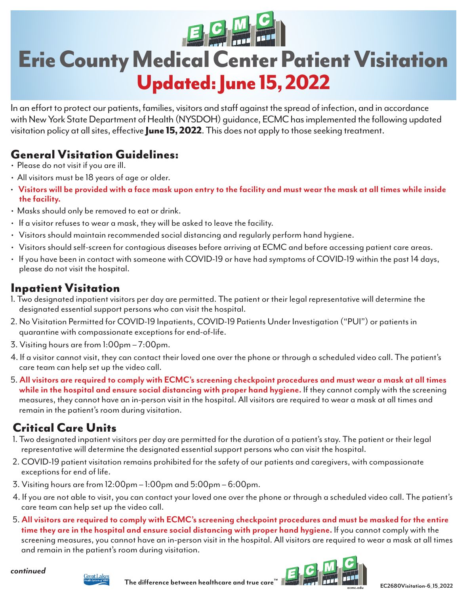# Erie County Medical Center Patient Visitation Updated: June 15, 2022

In an effort to protect our patients, families, visitors and staff against the spread of infection, and in accordance with New York State Department of Health (NYSDOH) guidance, ECMC has implemented the following updated visitation policy at all sites, effective June 15, 2022. This does not apply to those seeking treatment.

# General Visitation Guidelines:

- Please do not visit if you are ill.
- All visitors must be 18 years of age or older.
- **Visitors will be provided with a face mask upon entry to the facility and must wear the mask at all times while inside the facility.**
- Masks should only be removed to eat or drink.
- If a visitor refuses to wear a mask, they will be asked to leave the facility.
- Visitors should maintain recommended social distancing and regularly perform hand hygiene.
- Visitors should self-screen for contagious diseases before arriving at ECMC and before accessing patient care areas.
- If you have been in contact with someone with COVID-19 or have had symptoms of COVID-19 within the past 14 days, please do not visit the hospital.

#### Inpatient Visitation

- 1. Two designated inpatient visitors per day are permitted. The patient or their legal representative will determine the designated essential support persons who can visit the hospital.
- 2. No Visitation Permitted for COVID-19 Inpatients, COVID-19 Patients Under Investigation ("PUI") or patients in quarantine with compassionate exceptions for end-of-life.
- 3. Visiting hours are from 1:00pm 7:00pm.
- 4. If a visitor cannot visit, they can contact their loved one over the phone or through a scheduled video call. The patient's care team can help set up the video call.
- 5. **All visitors are required to comply with ECMC's screening checkpoint procedures and must wear a mask at all times while in the hospital and ensure social distancing with proper hand hygiene.** If they cannot comply with the screening measures, they cannot have an in-person visit in the hospital. All visitors are required to wear a mask at all times and remain in the patient's room during visitation.

# Critical Care Units

- 1. Two designated inpatient visitors per day are permitted for the duration of a patient's stay. The patient or their legal representative will determine the designated essential support persons who can visit the hospital.
- 2. COVID-19 patient visitation remains prohibited for the safety of our patients and caregivers, with compassionate exceptions for end of life.
- 3. Visiting hours are from 12:00pm 1:00pm and 5:00pm 6:00pm.
- 4. If you are not able to visit, you can contact your loved one over the phone or through a scheduled video call. The patient's care team can help set up the video call.
- 5. **All visitors are required to comply with ECMC's screening checkpoint procedures and must be masked for the entire time they are in the hospital and ensure social distancing with proper hand hygiene.** If you cannot comply with the screening measures, you cannot have an in-person visit in the hospital. All visitors are required to wear a mask at all times and remain in the patient's room during visitation.

*continued*